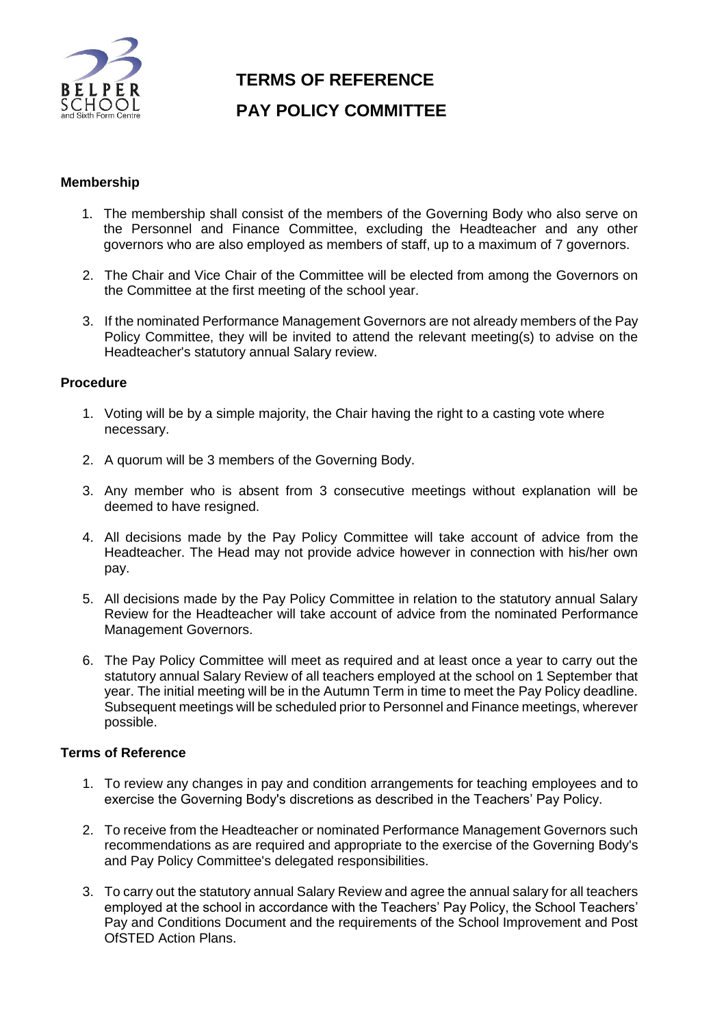

## **TERMS OF REFERENCE PAY POLICY COMMITTEE**

## **Membership**

- 1. The membership shall consist of the members of the Governing Body who also serve on the Personnel and Finance Committee, excluding the Headteacher and any other governors who are also employed as members of staff, up to a maximum of 7 governors.
- 2. The Chair and Vice Chair of the Committee will be elected from among the Governors on the Committee at the first meeting of the school year.
- 3. If the nominated Performance Management Governors are not already members of the Pay Policy Committee, they will be invited to attend the relevant meeting(s) to advise on the Headteacher's statutory annual Salary review.

## **Procedure**

- 1. Voting will be by a simple majority, the Chair having the right to a casting vote where necessary.
- 2. A quorum will be 3 members of the Governing Body.
- 3. Any member who is absent from 3 consecutive meetings without explanation will be deemed to have resigned.
- 4. All decisions made by the Pay Policy Committee will take account of advice from the Headteacher. The Head may not provide advice however in connection with his/her own pay.
- 5. All decisions made by the Pay Policy Committee in relation to the statutory annual Salary Review for the Headteacher will take account of advice from the nominated Performance Management Governors.
- 6. The Pay Policy Committee will meet as required and at least once a year to carry out the statutory annual Salary Review of all teachers employed at the school on 1 September that year. The initial meeting will be in the Autumn Term in time to meet the Pay Policy deadline. Subsequent meetings will be scheduled prior to Personnel and Finance meetings, wherever possible.

## **Terms of Reference**

- 1. To review any changes in pay and condition arrangements for teaching employees and to exercise the Governing Body's discretions as described in the Teachers' Pay Policy.
- 2. To receive from the Headteacher or nominated Performance Management Governors such recommendations as are required and appropriate to the exercise of the Governing Body's and Pay Policy Committee's delegated responsibilities.
- 3. To carry out the statutory annual Salary Review and agree the annual salary for all teachers employed at the school in accordance with the Teachers' Pay Policy, the School Teachers' Pay and Conditions Document and the requirements of the School Improvement and Post OfSTED Action Plans.